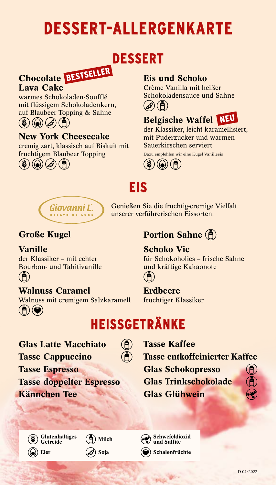# **DESSERT-ALLERGENKARTE**

## **DESSERT**

# Chocolate BESTSELLER

#### Lava Cake

warmes Schokoladen-Soufflé mit flüssigem Schokoladenkern, auf Blaubeer Topping & Sahne



### New York Cheesecake

cremig zart, klassisch auf Biskuit mit fruchtigem Blaubeer Topping  $\mathscr{A}$ 

### Eis und Schoko

Crème Vanilla mit heißer Schokoladensauce und Sahne é) ' B



der Klassiker, leicht karamellisiert, mit Puderzucker und warmen Sauerkirschen serviert

Dazu empfehlen wir eine Kugel Vanilleeis

### **EIS**



Genießen Sie die fruchtig-cremige Vielfalt unserer verführerischen Eissorten.

### Große Kugel

Vanille der Klassiker – mit echter Bourbon- und Tahitivanille  $\ddot{\mathbf{a}}$ 

### Walnuss Caramel

Walnuss mit cremigem Salzkaramell  $(A)(Q)$ 

### **Portion Sahne** (F)

#### Schoko Vic

für Schokoholics – frische Sahne und kräftige Kakaonote



#### Erdbeere

fruchtiger Klassiker

# **HEISSGETRÄNKE**

 $\mathbf{\widehat{A}}$  $(\widehat{\mathsf{P}})$ 

Glas Latte Macchiato Tasse Cappuccino Tasse Espresso Tasse doppelter Espresso Kännchen Tee

Tasse Kaffee

Tasse entkoffeinierter Kaffee

Glas Schokopresso

Glas Trinkschokolade Glas Glühwein



Eier

Getreide



Schwefeldioxid und Sulfite

Soja  $\left( \bigodot \right)$  Schalenfrüchte